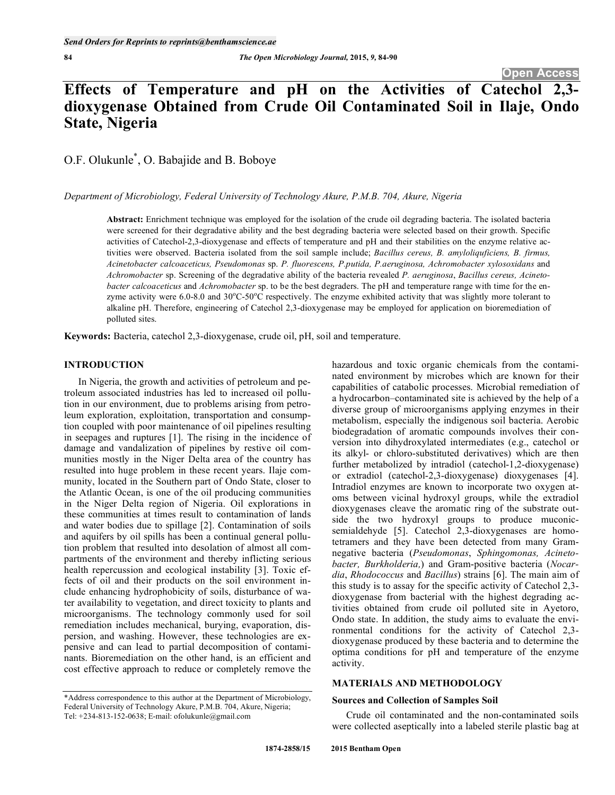# **Effects of Temperature and pH on the Activities of Catechol 2,3 dioxygenase Obtained from Crude Oil Contaminated Soil in Ilaje, Ondo State, Nigeria**

O.F. Olukunle\* , O. Babajide and B. Boboye

*Department of Microbiology, Federal University of Technology Akure, P.M.B. 704, Akure, Nigeria* 

**Abstract:** Enrichment technique was employed for the isolation of the crude oil degrading bacteria. The isolated bacteria were screened for their degradative ability and the best degrading bacteria were selected based on their growth. Specific activities of Catechol-2,3-dioxygenase and effects of temperature and pH and their stabilities on the enzyme relative activities were observed. Bacteria isolated from the soil sample include; *Bacillus cereus, B. amyloliquficiens, B. firmus, Acinetobacter calcoaceticus, Pseudomonas* sp. *P. fluorescens, P.putida, P.aeruginosa, Achromobacter xylosoxidans* and *Achromobacter* sp. Screening of the degradative ability of the bacteria revealed *P. aeruginosa*, *Bacillus cereus, Acinetobacter calcoaceticus* and *Achromobacter* sp. to be the best degraders. The pH and temperature range with time for the enzyme activity were  $6.0$ -8.0 and  $30^{\circ}$ C-50 $^{\circ}$ C respectively. The enzyme exhibited activity that was slightly more tolerant to alkaline pH. Therefore, engineering of Catechol 2,3-dioxygenase may be employed for application on bioremediation of polluted sites.

**Keywords:** Bacteria, catechol 2,3-dioxygenase, crude oil, pH, soil and temperature.

# **INTRODUCTION**

In Nigeria, the growth and activities of petroleum and petroleum associated industries has led to increased oil pollution in our environment, due to problems arising from petroleum exploration, exploitation, transportation and consumption coupled with poor maintenance of oil pipelines resulting in seepages and ruptures [1]. The rising in the incidence of damage and vandalization of pipelines by restive oil communities mostly in the Niger Delta area of the country has resulted into huge problem in these recent years. Ilaje community, located in the Southern part of Ondo State, closer to the Atlantic Ocean, is one of the oil producing communities in the Niger Delta region of Nigeria. Oil explorations in these communities at times result to contamination of lands and water bodies due to spillage [2]. Contamination of soils and aquifers by oil spills has been a continual general pollution problem that resulted into desolation of almost all compartments of the environment and thereby inflicting serious health repercussion and ecological instability [3]. Toxic effects of oil and their products on the soil environment include enhancing hydrophobicity of soils, disturbance of water availability to vegetation, and direct toxicity to plants and microorganisms. The technology commonly used for soil remediation includes mechanical, burying, evaporation, dispersion, and washing. However, these technologies are expensive and can lead to partial decomposition of contaminants. Bioremediation on the other hand, is an efficient and cost effective approach to reduce or completely remove the

hazardous and toxic organic chemicals from the contaminated environment by microbes which are known for their capabilities of catabolic processes. Microbial remediation of a hydrocarbon–contaminated site is achieved by the help of a diverse group of microorganisms applying enzymes in their metabolism, especially the indigenous soil bacteria. Aerobic biodegradation of aromatic compounds involves their conversion into dihydroxylated intermediates (e.g., catechol or its alkyl- or chloro-substituted derivatives) which are then further metabolized by intradiol (catechol-1,2-dioxygenase) or extradiol (catechol-2,3-dioxygenase) dioxygenases [4]. Intradiol enzymes are known to incorporate two oxygen atoms between vicinal hydroxyl groups, while the extradiol dioxygenases cleave the aromatic ring of the substrate outside the two hydroxyl groups to produce muconicsemialdehyde [5]. Catechol 2,3-dioxygenases are homotetramers and they have been detected from many Gramnegative bacteria (*Pseudomonas*, *Sphingomonas, Acinetobacter, Burkholderia,*) and Gram-positive bacteria (*Nocardia*, *Rhodococcus* and *Bacillus*) strains [6]. The main aim of this study is to assay for the specific activity of Catechol 2,3 dioxygenase from bacterial with the highest degrading activities obtained from crude oil polluted site in Ayetoro, Ondo state. In addition, the study aims to evaluate the environmental conditions for the activity of Catechol 2,3 dioxygenase produced by these bacteria and to determine the optima conditions for pH and temperature of the enzyme activity.

#### **MATERIALS AND METHODOLOGY**

# **Sources and Collection of Samples Soil**

Crude oil contaminated and the non-contaminated soils were collected aseptically into a labeled sterile plastic bag at

<sup>\*</sup>Address correspondence to this author at the Department of Microbiology, Federal University of Technology Akure, P.M.B. 704, Akure, Nigeria; Tel: +234-813-152-0638; E-mail: ofolukunle@gmail.com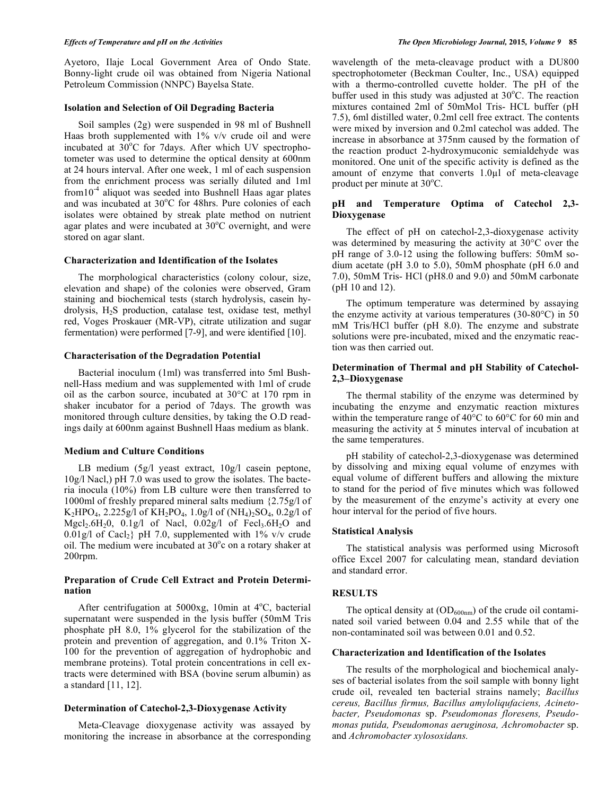Ayetoro, Ilaje Local Government Area of Ondo State. Bonny-light crude oil was obtained from Nigeria National Petroleum Commission (NNPC) Bayelsa State.

#### **Isolation and Selection of Oil Degrading Bacteria**

Soil samples (2g) were suspended in 98 ml of Bushnell Haas broth supplemented with 1% v/v crude oil and were incubated at  $30^{\circ}$ C for 7 days. After which UV spectrophotometer was used to determine the optical density at 600nm at 24 hours interval. After one week, 1 ml of each suspension from the enrichment process was serially diluted and 1ml from $10^{-4}$  aliquot was seeded into Bushnell Haas agar plates and was incubated at 30°C for 48hrs. Pure colonies of each isolates were obtained by streak plate method on nutrient agar plates and were incubated at  $30^{\circ}$ C overnight, and were stored on agar slant.

# **Characterization and Identification of the Isolates**

The morphological characteristics (colony colour, size, elevation and shape) of the colonies were observed, Gram staining and biochemical tests (starch hydrolysis, casein hydrolysis, H2S production, catalase test, oxidase test, methyl red, Voges Proskauer (MR-VP), citrate utilization and sugar fermentation) were performed [7-9], and were identified [10].

# **Characterisation of the Degradation Potential**

Bacterial inoculum (1ml) was transferred into 5ml Bushnell-Hass medium and was supplemented with 1ml of crude oil as the carbon source, incubated at 30°C at 170 rpm in shaker incubator for a period of 7days. The growth was monitored through culture densities, by taking the O.D readings daily at 600nm against Bushnell Haas medium as blank.

# **Medium and Culture Conditions**

LB medium (5g/l yeast extract, 10g/l casein peptone, 10g/l Nacl,) pH 7.0 was used to grow the isolates. The bacteria inocula (10%) from LB culture were then transferred to 1000ml of freshly prepared mineral salts medium {2.75g/l of K2HPO4, 2.225g/l of KH2PO4, 1.0g/l of (NH4)2SO4, 0.2g/l of Mgcl<sub>2</sub>.6H<sub>2</sub>0, 0.1g/l of Nacl, 0.02g/l of Fecl<sub>3</sub>.6H<sub>2</sub>O and 0.01g/l of Cacl<sub>2</sub>} pH 7.0, supplemented with 1% v/v crude oil. The medium were incubated at 30°c on a rotary shaker at 200rpm.

# **Preparation of Crude Cell Extract and Protein Determination**

After centrifugation at  $5000xg$ , 10min at  $4^{\circ}$ C, bacterial supernatant were suspended in the lysis buffer (50mM Tris phosphate pH 8.0, 1% glycerol for the stabilization of the protein and prevention of aggregation, and 0.1% Triton X-100 for the prevention of aggregation of hydrophobic and membrane proteins). Total protein concentrations in cell extracts were determined with BSA (bovine serum albumin) as a standard [11, 12].

# **Determination of Catechol-2,3-Dioxygenase Activity**

Meta-Cleavage dioxygenase activity was assayed by monitoring the increase in absorbance at the corresponding wavelength of the meta-cleavage product with a DU800 spectrophotometer (Beckman Coulter, Inc., USA) equipped with a thermo-controlled cuvette holder. The pH of the buffer used in this study was adjusted at  $30^{\circ}$ C. The reaction mixtures contained 2ml of 50mMol Tris- HCL buffer (pH 7.5), 6ml distilled water, 0.2ml cell free extract. The contents were mixed by inversion and 0.2ml catechol was added. The increase in absorbance at 375nm caused by the formation of the reaction product 2-hydroxymuconic semialdehyde was monitored. One unit of the specific activity is defined as the amount of enzyme that converts  $1.0\mu$ l of meta-cleavage product per minute at  $30^{\circ}$ C.

# **pH and Temperature Optima of Catechol 2,3- Dioxygenase**

The effect of pH on catechol-2,3-dioxygenase activity was determined by measuring the activity at 30°C over the pH range of 3.0-12 using the following buffers: 50mM sodium acetate (pH 3.0 to 5.0), 50mM phosphate (pH 6.0 and 7.0), 50mM Tris- HCl (pH8.0 and 9.0) and 50mM carbonate (pH 10 and 12).

The optimum temperature was determined by assaying the enzyme activity at various temperatures (30-80°C) in 50 mM Tris/HCl buffer (pH 8.0). The enzyme and substrate solutions were pre-incubated, mixed and the enzymatic reaction was then carried out.

# **Determination of Thermal and pH Stability of Catechol-2,3–Dioxygenase**

The thermal stability of the enzyme was determined by incubating the enzyme and enzymatic reaction mixtures within the temperature range of 40°C to 60°C for 60 min and measuring the activity at 5 minutes interval of incubation at the same temperatures.

pH stability of catechol-2,3-dioxygenase was determined by dissolving and mixing equal volume of enzymes with equal volume of different buffers and allowing the mixture to stand for the period of five minutes which was followed by the measurement of the enzyme's activity at every one hour interval for the period of five hours.

#### **Statistical Analysis**

The statistical analysis was performed using Microsoft office Excel 2007 for calculating mean, standard deviation and standard error.

# **RESULTS**

The optical density at  $OD_{600nm}$ ) of the crude oil contaminated soil varied between 0.04 and 2.55 while that of the non-contaminated soil was between 0.01 and 0.52.

# **Characterization and Identification of the Isolates**

The results of the morphological and biochemical analyses of bacterial isolates from the soil sample with bonny light crude oil, revealed ten bacterial strains namely; *Bacillus cereus, Bacillus firmus, Bacillus amyloliqufaciens, Acinetobacter, Pseudomonas* sp. *Pseudomonas floresens, Pseudomonas putida, Pseudomonas aeruginosa, Achromobacter* sp. and *Achromobacter xylosoxidans.*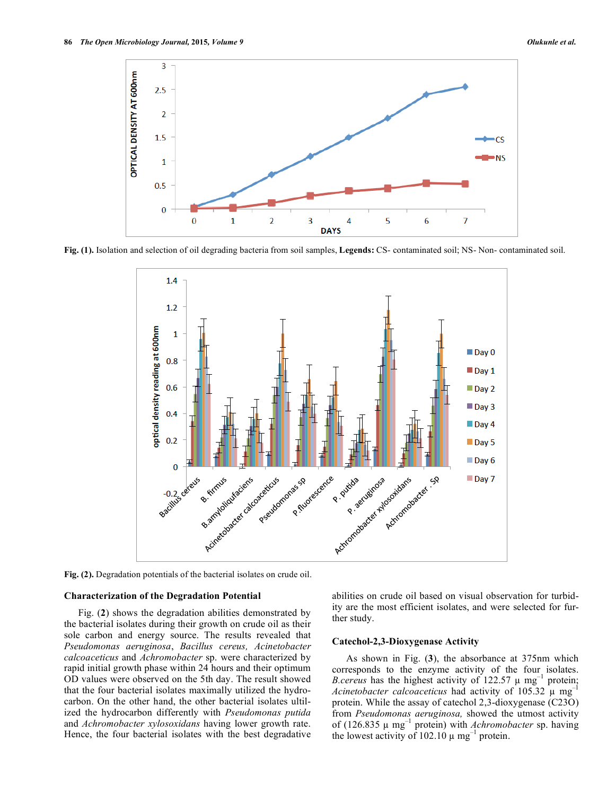

**Fig. (1).** Isolation and selection of oil degrading bacteria from soil samples, **Legends:** CS- contaminated soil; NS- Non- contaminated soil.



**Fig. (2).** Degradation potentials of the bacterial isolates on crude oil.

#### **Characterization of the Degradation Potential**

Fig. (**2**) shows the degradation abilities demonstrated by the bacterial isolates during their growth on crude oil as their sole carbon and energy source. The results revealed that *Pseudomonas aeruginosa*, *Bacillus cereus, Acinetobacter calcoaceticus* and *Achromobacter* sp. were characterized by rapid initial growth phase within 24 hours and their optimum OD values were observed on the 5th day. The result showed that the four bacterial isolates maximally utilized the hydrocarbon. On the other hand, the other bacterial isolates ultilized the hydrocarbon differently with *Pseudomonas putida* and *Achromobacter xylosoxidans* having lower growth rate. Hence, the four bacterial isolates with the best degradative abilities on crude oil based on visual observation for turbidity are the most efficient isolates, and were selected for further study.

# **Catechol-2,3-Dioxygenase Activity**

As shown in Fig. (**3**), the absorbance at 375nm which corresponds to the enzyme activity of the four isolates. *B.cereus* has the highest activity of 122.57  $\mu$  mg<sup>-1</sup> protein; *Acinetobacter calcoaceticus* had activity of 105.32  $\mu$  mg<sup>-1</sup> protein. While the assay of catechol 2,3-dioxygenase (C23O) from *Pseudomonas aeruginosa,* showed the utmost activity of (126.835  $\mu$  mg<sup>-1</sup> protein) with *Achromobacter* sp. having the lowest activity of 102.10  $\mu$  mg<sup>-1</sup> protein.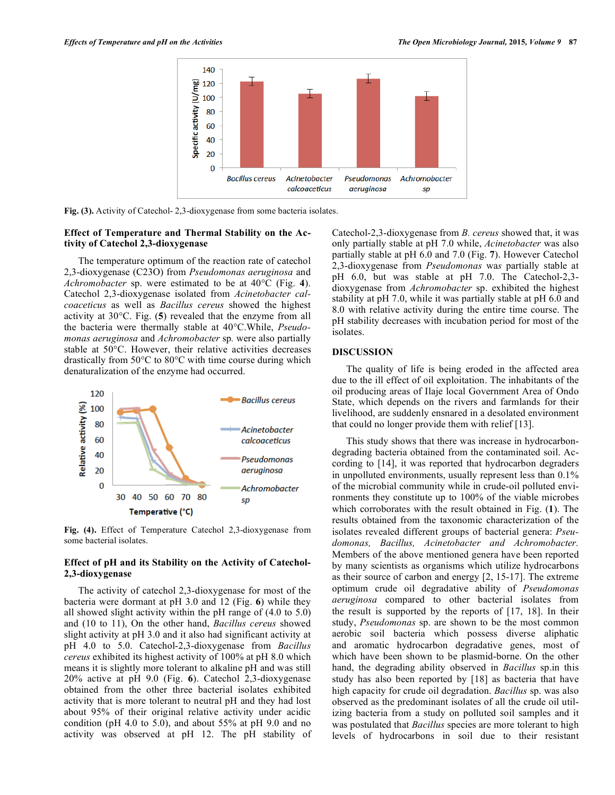

**Fig. (3).** Activity of Catechol- 2,3-dioxygenase from some bacteria isolates.

# **Effect of Temperature and Thermal Stability on the Activity of Catechol 2,3-dioxygenase**

The temperature optimum of the reaction rate of catechol 2,3-dioxygenase (C23O) from *Pseudomonas aeruginosa* and *Achromobacter* sp. were estimated to be at 40°C (Fig. **4**). Catechol 2,3-dioxygenase isolated from *Acinetobacter calcoaceticus* as well as *Bacillus cereus* showed the highest activity at 30°C. Fig. (**5**) revealed that the enzyme from all the bacteria were thermally stable at 40°C.While, *Pseudomonas aeruginosa* and *Achromobacter* sp*.* were also partially stable at 50°C. However, their relative activities decreases drastically from 50°C to 80°C with time course during which denaturalization of the enzyme had occurred.



**Fig. (4).** Effect of Temperature Catechol 2,3-dioxygenase from some bacterial isolates.

# **Effect of pH and its Stability on the Activity of Catechol-2,3-dioxygenase**

The activity of catechol 2,3-dioxygenase for most of the bacteria were dormant at pH 3.0 and 12 (Fig. **6**) while they all showed slight activity within the pH range of (4.0 to 5.0) and (10 to 11), On the other hand, *Bacillus cereus* showed slight activity at pH 3.0 and it also had significant activity at pH 4.0 to 5.0. Catechol-2,3-dioxygenase from *Bacillus cereus* exhibited its highest activity of 100% at pH 8.0 which means it is slightly more tolerant to alkaline pH and was still 20% active at pH 9.0 (Fig. **6**). Catechol 2,3-dioxygenase obtained from the other three bacterial isolates exhibited activity that is more tolerant to neutral pH and they had lost about 95% of their original relative activity under acidic condition (pH 4.0 to 5.0), and about 55% at pH 9.0 and no activity was observed at pH 12. The pH stability of Catechol-2,3-dioxygenase from *B. cereus* showed that, it was only partially stable at pH 7.0 while, *Acinetobacter* was also partially stable at pH 6.0 and 7.0 (Fig. **7**). However Catechol 2,3-dioxygenase from *Pseudomonas* wa*s* partially stable at pH 6.0, but was stable at pH 7.0. The Catechol-2,3 dioxygenase from *Achromobacter* sp. exhibited the highest stability at pH 7.0, while it was partially stable at pH 6.0 and 8.0 with relative activity during the entire time course. The pH stability decreases with incubation period for most of the isolates.

# **DISCUSSION**

The quality of life is being eroded in the affected area due to the ill effect of oil exploitation. The inhabitants of the oil producing areas of Ilaje local Government Area of Ondo State, which depends on the rivers and farmlands for their livelihood, are suddenly ensnared in a desolated environment that could no longer provide them with relief [13].

This study shows that there was increase in hydrocarbondegrading bacteria obtained from the contaminated soil. According to [14], it was reported that hydrocarbon degraders in unpolluted environments, usually represent less than 0.1% of the microbial community while in crude-oil polluted environments they constitute up to 100% of the viable microbes which corroborates with the result obtained in Fig. (**1**). The results obtained from the taxonomic characterization of the isolates revealed different groups of bacterial genera: *Pseudomonas, Bacillus, Acinetobacter and Achromobacter.*  Members of the above mentioned genera have been reported by many scientists as organisms which utilize hydrocarbons as their source of carbon and energy [2, 15-17]. The extreme optimum crude oil degradative ability of *Pseudomonas aeruginosa* compared to other bacterial isolates from the result is supported by the reports of [17, 18]. In their study, *Pseudomonas* sp. are shown to be the most common aerobic soil bacteria which possess diverse aliphatic and aromatic hydrocarbon degradative genes, most of which have been shown to be plasmid-borne. On the other hand, the degrading ability observed in *Bacillus* sp.in this study has also been reported by [18] as bacteria that have high capacity for crude oil degradation. *Bacillus* sp. was also observed as the predominant isolates of all the crude oil utilizing bacteria from a study on polluted soil samples and it was postulated that *Bacillus* species are more tolerant to high levels of hydrocarbons in soil due to their resistant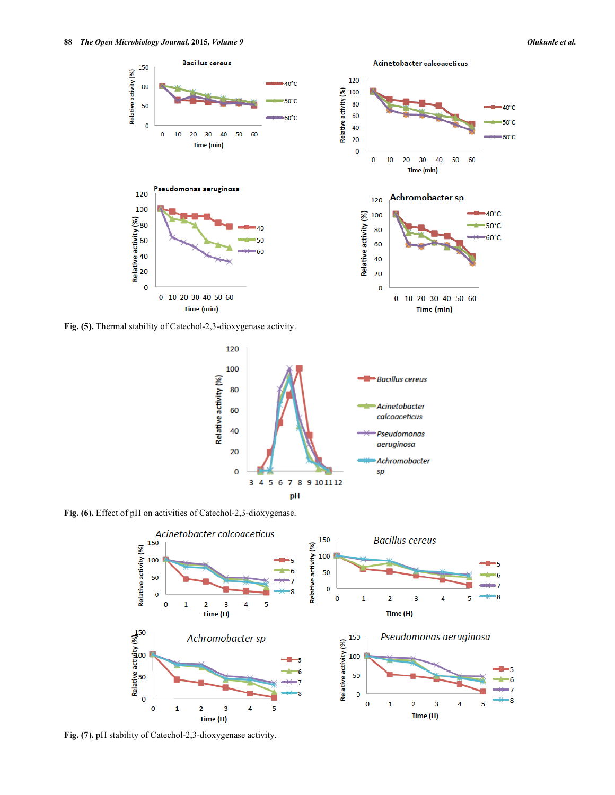

**Fig. (5).** Thermal stability of Catechol-2,3-dioxygenase activity.



**Fig. (6).** Effect of pH on activities of Catechol-2,3-dioxygenase.



**Fig. (7).** pH stability of Catechol-2,3-dioxygenase activity.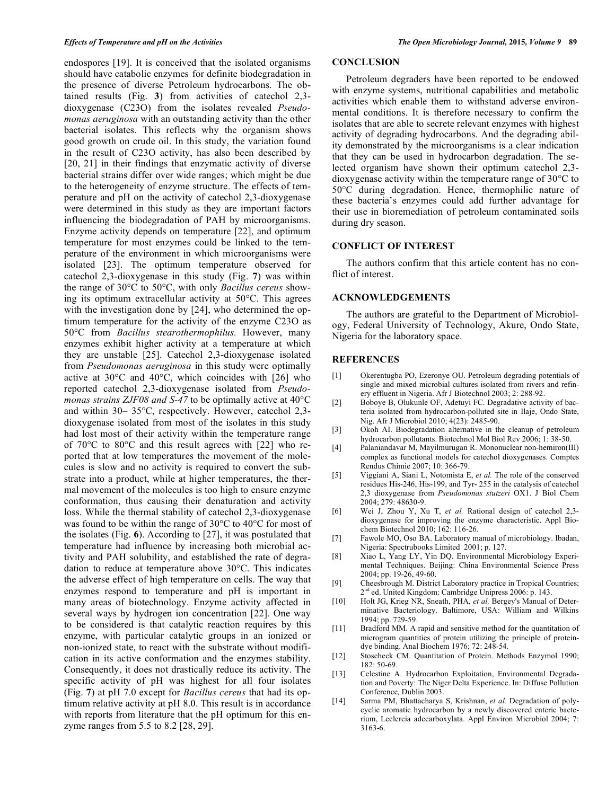endospores [19]. It is conceived that the isolated organisms should have catabolic enzymes for definite biodegradation in the presence of diverse Petroleum hydrocarbons. The obtained results (Fig. **3**) from activities of catechol 2,3 dioxygenase (C23O) from the isolates revealed *Pseudomonas aeruginosa* with an outstanding activity than the other bacterial isolates. This reflects why the organism shows good growth on crude oil. In this study, the variation found in the result of C23O activity, has also been described by [20, 21] in their findings that enzymatic activity of diverse bacterial strains differ over wide ranges; which might be due to the heterogeneity of enzyme structure. The effects of temperature and pH on the activity of catechol 2,3-dioxygenase were determined in this study as they are important factors influencing the biodegradation of PAH by microorganisms. Enzyme activity depends on temperature [22], and optimum temperature for most enzymes could be linked to the temperature of the environment in which microorganisms were isolated [23]. The optimum temperature observed for catechol 2,3-dioxygenase in this study (Fig. **7**) was within the range of 30°C to 50°C, with only *Bacillus cereus* showing its optimum extracellular activity at 50°C. This agrees with the investigation done by [24], who determined the optimum temperature for the activity of the enzyme C23O as 50°C from *Bacillus stearothermophilus.* However, many enzymes exhibit higher activity at a temperature at which they are unstable [25]. Catechol 2,3-dioxygenase isolated from *Pseudomonas aeruginosa* in this study were optimally active at 30°C and 40°C, which coincides with [26] who reported catechol 2,3-dioxygenase isolated from *Pseudomonas strains ZJF08 and S-47* to be optimally active at 40°C and within 30– 35°C, respectively. However, catechol 2,3 dioxygenase isolated from most of the isolates in this study had lost most of their activity within the temperature range of 70°C to 80°C and this result agrees with [22] who reported that at low temperatures the movement of the molecules is slow and no activity is required to convert the substrate into a product, while at higher temperatures, the thermal movement of the molecules is too high to ensure enzyme conformation, thus causing their denaturation and activity loss. While the thermal stability of catechol 2,3-dioxygenase was found to be within the range of 30°C to 40°C for most of the isolates (Fig. **6**). According to [27], it was postulated that temperature had influence by increasing both microbial activity and PAH solubility, and established the rate of degradation to reduce at temperature above 30°C. This indicates the adverse effect of high temperature on cells. The way that enzymes respond to temperature and pH is important in many areas of biotechnology. Enzyme activity affected in several ways by hydrogen ion concentration [22]. One way to be considered is that catalytic reaction requires by this enzyme, with particular catalytic groups in an ionized or non-ionized state, to react with the substrate without modification in its active conformation and the enzymes stability. Consequently, it does not drastically reduce its activity. The specific activity of pH was highest for all four isolates (Fig. **7**) at pH 7.0 except for *Bacillus cereus* that had its optimum relative activity at pH 8.0. This result is in accordance with reports from literature that the pH optimum for this enzyme ranges from 5.5 to 8.2 [28, 29].

# **CONCLUSION**

Petroleum degraders have been reported to be endowed with enzyme systems, nutritional capabilities and metabolic activities which enable them to withstand adverse environmental conditions. It is therefore necessary to confirm the isolates that are able to secrete relevant enzymes with highest activity of degrading hydrocarbons. And the degrading ability demonstrated by the microorganisms is a clear indication that they can be used in hydrocarbon degradation. The selected organism have shown their optimum catechol 2,3 dioxygenase activity within the temperature range of 30°C to 50°C during degradation. Hence, thermophilic nature of these bacteria's enzymes could add further advantage for their use in bioremediation of petroleum contaminated soils during dry season.

#### **CONFLICT OF INTEREST**

The authors confirm that this article content has no conflict of interest.

# **ACKNOWLEDGEMENTS**

The authors are grateful to the Department of Microbiology, Federal University of Technology, Akure, Ondo State, Nigeria for the laboratory space.

#### **REFERENCES**

- [1] Okerentugba PO, Ezeronye OU. Petroleum degrading potentials of single and mixed microbial cultures isolated from rivers and refinery effluent in Nigeria. Afr J Biotechnol 2003; 2: 288-92.
- [2] Boboye B, Olukunle OF, Adetuyi FC. Degradative activity of bacteria isolated from hydrocarbon-polluted site in Ilaje, Ondo State, Nig. Afr J Microbiol 2010; 4(23): 2485-90.
- [3] Okoh AI. Biodegradation alternative in the cleanup of petroleum hydrocarbon pollutants. Biotechnol Mol Biol Rev 2006; 1: 38-50.
- [4] Palaniandavar M, Mayilmurugan R. Mononuclear non-hemiron(III) complex as functional models for catechol dioxygenases. Comptes Rendus Chimie 2007; 10: 366-79.
- [5] Viggiani A, Siani L, Notomista E, *et al.* The role of the conserved residues His-246, His-199, and Tyr- 255 in the catalysis of catechol 2,3 dioxygenase from *Pseudomonas stutzeri* OX1. J Biol Chem 2004; 279: 48630-9.
- [6] Wei J, Zhou Y, Xu T, *et al.* Rational design of catechol 2,3 dioxygenase for improving the enzyme characteristic. Appl Biochem Biotechnol 2010; 162: 116-26.
- [7] Fawole MO, Oso BA. Laboratory manual of microbiology. Ibadan, Nigeria: Spectrubooks Limited 2001; p. 127.
- [8] Xiao L, Yang LY, Yin DQ. Environmental Microbiology Experimental Techniques. Beijing: China Environmental Science Press 2004; pp. 19-26, 49-60.
- [9] Cheesbrough M. District Laboratory practice in Tropical Countries; 2<sup>nd</sup> ed. United Kingdom: Cambridge Unipress 2006: p. 143.
- [10] Holt JG, Krieg NR, Sneath, PHA, *et al.* Bergey's Manual of Determinative Bacteriology. Baltimore, USA: William and Wilkins 1994; pp. 729-59.
- [11] Bradford MM. A rapid and sensitive method for the quantitation of microgram quantities of protein utilizing the principle of proteindye binding. Anal Biochem 1976; 72: 248-54.
- [12] Stoscheck CM. Quantitation of Protein. Methods Enzymol 1990; 182: 50-69.
- [13] Celestine A. Hydrocarbon Exploitation, Environmental Degradation and Poverty: The Niger Delta Experience. In: Diffuse Pollution Conference*,* Dublin 2003.
- [14] Sarma PM, Bhattacharya S, Krishnan, *et al.* Degradation of polycyclic aromatic hydrocarbon by a newly discovered enteric bacterium, Leclercia adecarboxylata. Appl Environ Microbiol 2004; 7: 3163-6.